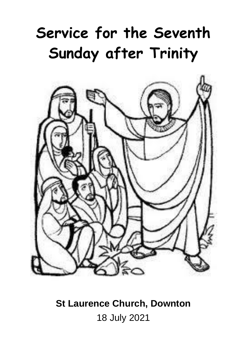# **Service for the Seventh Sunday after Trinity**



# **St Laurence Church, Downton** 18 July 2021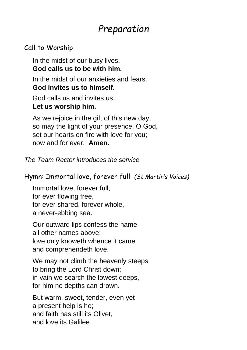## *Preparation*

### Call to Worship

In the midst of our busy lives, **God calls us to be with him.**

In the midst of our anxieties and fears. **God invites us to himself.**

God calls us and invites us. **Let us worship him.**

As we rejoice in the gift of this new day, so may the light of your presence, O God, set our hearts on fire with love for you; now and for ever. **Amen.**

*The Team Rector introduces the service*

Hymn: Immortal love, forever full *(St Martin's Voices)*

Immortal love, forever full, for ever flowing free, for ever shared, forever whole, a never-ebbing sea.

Our outward lips confess the name all other names above; love only knoweth whence it came and comprehendeth love.

We may not climb the heavenly steeps to bring the Lord Christ down; in vain we search the lowest deeps, for him no depths can drown.

But warm, sweet, tender, even yet a present help is he; and faith has still its Olivet, and love its Galilee.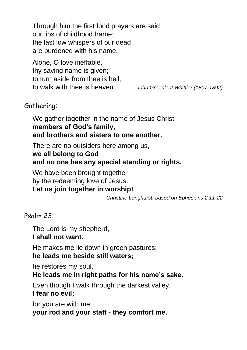Through him the first fond prayers are said our lips of childhood frame; the last low whispers of our dead are burdened with his name.

Alone, O love ineffable, thy saving name is given; to turn aside from thee is hell, to walk with thee is heaven. *John Greenleaf Whittier (1807-1892)*

### Gathering:

We gather together in the name of Jesus Christ **members of God's family, and brothers and sisters to one another.**

There are no outsiders here among us, **we all belong to God and no one has any special standing or rights.**

We have been brought together by the redeeming love of Jesus. **Let us join together in worship!**

*Christine Longhurst, based on Ephesians 2:11-22*

#### Psalm 23:

The Lord is my shepherd,

#### **I shall not want.**

He makes me lie down in green pastures;

### **he leads me beside still waters;**

he restores my soul.

**He leads me in right paths for his name's sake.**

Even though I walk through the darkest valley, **I fear no evil;**

for you are with me; **your rod and your staff - they comfort me.**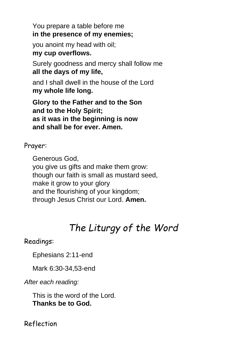You prepare a table before me **in the presence of my enemies;**

you anoint my head with oil; **my cup overflows.**

Surely goodness and mercy shall follow me **all the days of my life,**

and I shall dwell in the house of the Lord **my whole life long.**

**Glory to the Father and to the Son and to the Holy Spirit; as it was in the beginning is now and shall be for ever. Amen.**

Prayer:

Generous God,

you give us gifts and make them grow: though our faith is small as mustard seed, make it grow to your glory and the flourishing of your kingdom; through Jesus Christ our Lord. **Amen.**

# *The Liturgy of the Word*

### Readings:

Ephesians 2:11-end

Mark 6:30-34,53-end

*After each reading:*

This is the word of the Lord. **Thanks be to God.**

Reflection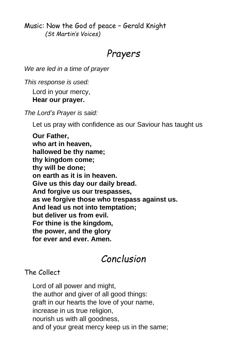Music: Now the God of peace – Gerald Knight *(St Martin's Voices)*

### *Prayers*

*We are led in a time of prayer*

*This response is used:*

Lord in your mercy,

### **Hear our prayer.**

*The Lord's Prayer is said:*

Let us pray with confidence as our Saviour has taught us

**Our Father, who art in heaven, hallowed be thy name; thy kingdom come; thy will be done; on earth as it is in heaven. Give us this day our daily bread. And forgive us our trespasses, as we forgive those who trespass against us. And lead us not into temptation; but deliver us from evil. For thine is the kingdom, the power, and the glory for ever and ever. Amen.**

### *Conclusion*

### The Collect

Lord of all power and might, the author and giver of all good things: graft in our hearts the love of your name, increase in us true religion, nourish us with all goodness, and of your great mercy keep us in the same;